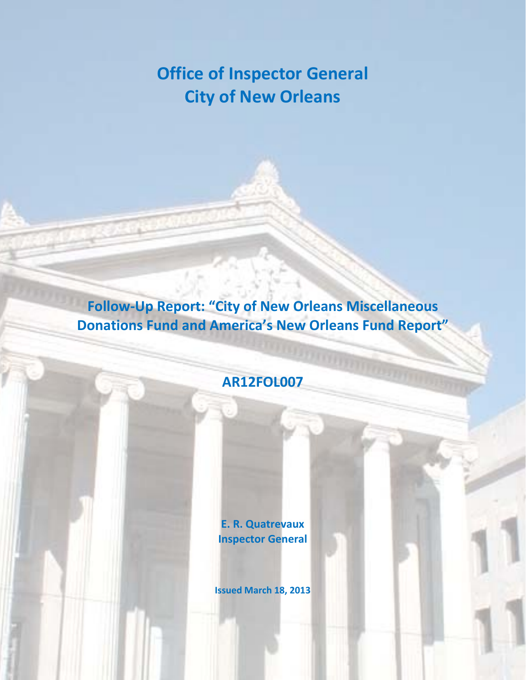# **Office of Inspector General City of New Orleans**

**Follow‐Up Report: "City of New Orleans Miscellaneous Donations Fund and America's New Orleans Fund Report"**

## **AR12FOL007**

**E. R. Quatrevaux Inspector General**

**Issued March 18, 2013**

The City of New Orleans AR12FOL007 Follow‐up Report: "City of New Orleans Miscellaneous Office of Inspector General Page i of 7 Donations Fund and America's New Orleans Fund Report"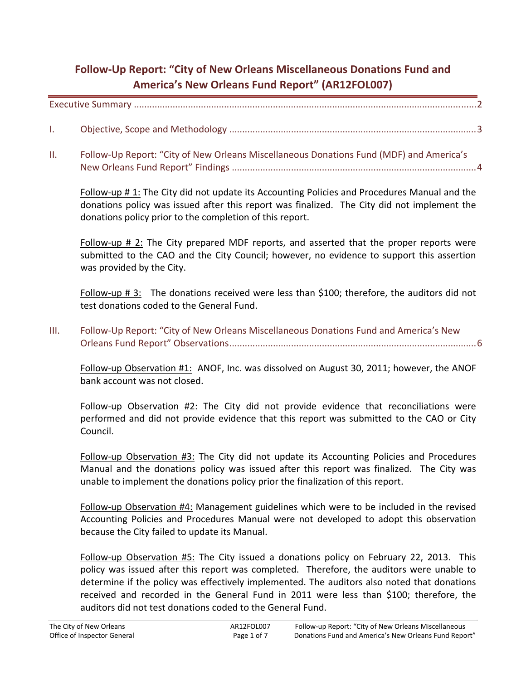## **Follow‐Up Report: "City of New Orleans Miscellaneous Donations Fund and America's New Orleans Fund Report" (AR12FOL007)**

Executive Summary .....................................................................................................................................2

- I. Objective, Scope and Methodology ................................................................................................3
- II. Follow‐Up Report: "City of New Orleans Miscellaneous Donations Fund (MDF) and America's New Orleans Fund Report" Findings ...............................................................................................4

Follow‐up # 1: The City did not update its Accounting Policies and Procedures Manual and the donations policy was issued after this report was finalized. The City did not implement the donations policy prior to the completion of this report.

Follow-up # 2: The City prepared MDF reports, and asserted that the proper reports were submitted to the CAO and the City Council; however, no evidence to support this assertion was provided by the City.

Follow-up  $\# 3$ : The donations received were less than \$100; therefore, the auditors did not test donations coded to the General Fund.

III. Follow‐Up Report: "City of New Orleans Miscellaneous Donations Fund and America's New Orleans Fund Report" Observations................................................................................................6

Follow-up Observation #1: ANOF, Inc. was dissolved on August 30, 2011; however, the ANOF bank account was not closed.

Follow-up Observation #2: The City did not provide evidence that reconciliations were performed and did not provide evidence that this report was submitted to the CAO or City Council.

Follow-up Observation #3: The City did not update its Accounting Policies and Procedures Manual and the donations policy was issued after this report was finalized. The City was unable to implement the donations policy prior the finalization of this report.

Follow‐up Observation #4: Management guidelines which were to be included in the revised Accounting Policies and Procedures Manual were not developed to adopt this observation because the City failed to update its Manual.

Follow-up Observation #5: The City issued a donations policy on February 22, 2013. This policy was issued after this report was completed. Therefore, the auditors were unable to determine if the policy was effectively implemented. The auditors also noted that donations received and recorded in the General Fund in 2011 were less than \$100; therefore, the auditors did not test donations coded to the General Fund.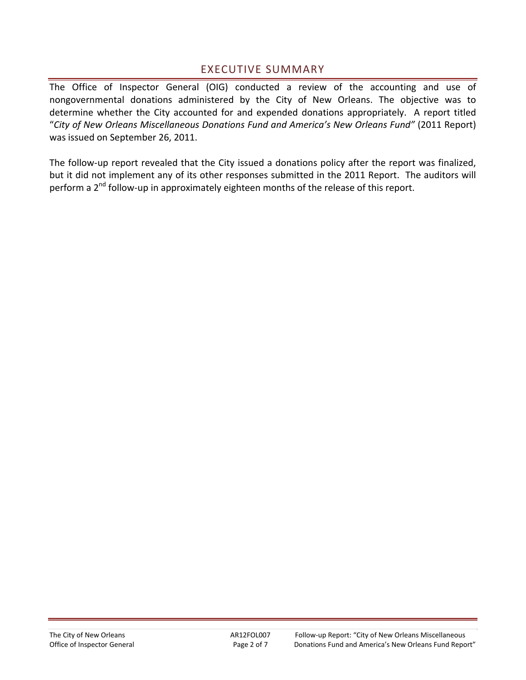### EXECUTIVE SUMMARY

The Office of Inspector General (OIG) conducted a review of the accounting and use of nongovernmental donations administered by the City of New Orleans. The objective was to determine whether the City accounted for and expended donations appropriately. A report titled "*City of New Orleans Miscellaneous Donations Fund and America's New Orleans Fund"* (2011 Report) was issued on September 26, 2011.

The follow-up report revealed that the City issued a donations policy after the report was finalized, but it did not implement any of its other responses submitted in the 2011 Report. The auditors will perform a 2<sup>nd</sup> follow-up in approximately eighteen months of the release of this report.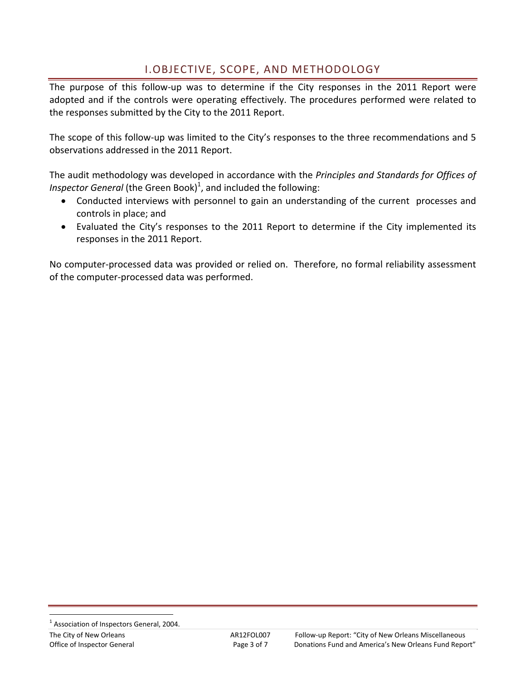## I.OBJECTIVE, SCOPE, AND METHODOLOGY

The purpose of this follow-up was to determine if the City responses in the 2011 Report were adopted and if the controls were operating effectively. The procedures performed were related to the responses submitted by the City to the 2011 Report.

The scope of this follow-up was limited to the City's responses to the three recommendations and 5 observations addressed in the 2011 Report.

The audit methodology was developed in accordance with the *Principles and Standards for Offices of Inspector General* (the Green Book)<sup>1</sup>, and included the following:

- Conducted interviews with personnel to gain an understanding of the current processes and controls in place; and
- Evaluated the City's responses to the 2011 Report to determine if the City implemented its responses in the 2011 Report.

No computer‐processed data was provided or relied on. Therefore, no formal reliability assessment of the computer‐processed data was performed.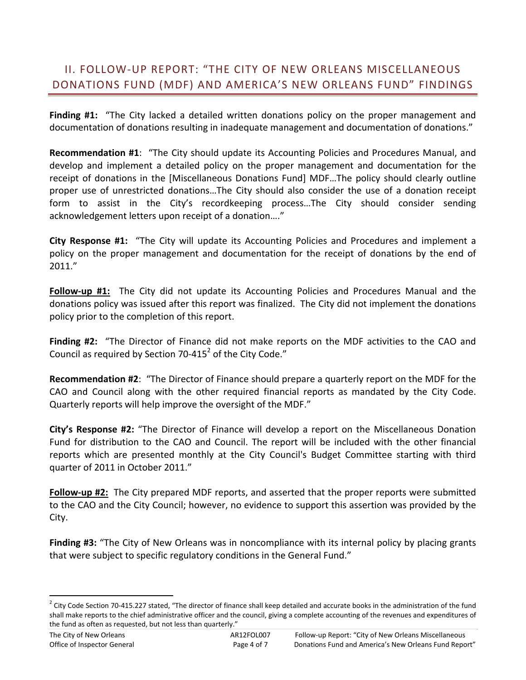## II. FOLLOW‐UP REPORT: "THE CITY OF NEW ORLEANS MISCELLANEOUS DONATIONS FUND (MDF) AND AMERICA'S NEW ORLEANS FUND" FINDINGS

**Finding #1:** "The City lacked a detailed written donations policy on the proper management and documentation of donations resulting in inadequate management and documentation of donations."

**Recommendation #1**: "The City should update its Accounting Policies and Procedures Manual, and develop and implement a detailed policy on the proper management and documentation for the receipt of donations in the [Miscellaneous Donations Fund] MDF…The policy should clearly outline proper use of unrestricted donations…The City should also consider the use of a donation receipt form to assist in the City's recordkeeping process…The City should consider sending acknowledgement letters upon receipt of a donation…."

**City Response #1:** "The City will update its Accounting Policies and Procedures and implement a policy on the proper management and documentation for the receipt of donations by the end of 2011."

**Follow‐up #1:** The City did not update its Accounting Policies and Procedures Manual and the donations policy was issued after this report was finalized. The City did not implement the donations policy prior to the completion of this report.

**Finding #2:**  "The Director of Finance did not make reports on the MDF activities to the CAO and Council as required by Section 70-415<sup>2</sup> of the City Code."

**Recommendation #2**: "The Director of Finance should prepare a quarterly report on the MDF for the CAO and Council along with the other required financial reports as mandated by the City Code. Quarterly reports will help improve the oversight of the MDF."

**City's Response #2:** "The Director of Finance will develop a report on the Miscellaneous Donation Fund for distribution to the CAO and Council. The report will be included with the other financial reports which are presented monthly at the City Council's Budget Committee starting with third quarter of 2011 in October 2011."

**Follow‐up #2:** The City prepared MDF reports, and asserted that the proper reports were submitted to the CAO and the City Council; however, no evidence to support this assertion was provided by the City.

**Finding #3:** "The City of New Orleans was in noncompliance with its internal policy by placing grants that were subject to specific regulatory conditions in the General Fund."

 $2$  City Code Section 70-415.227 stated, "The director of finance shall keep detailed and accurate books in the administration of the fund shall make reports to the chief administrative officer and the council, giving a complete accounting of the revenues and expenditures of the fund as often as requested, but not less than quarterly."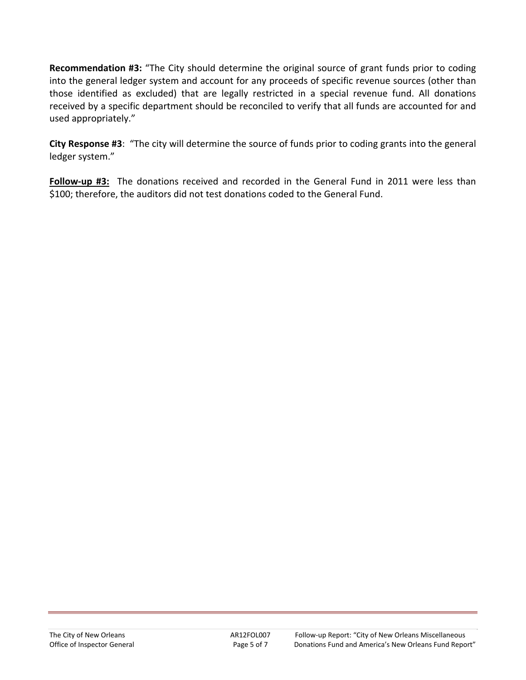**Recommendation #3:** "The City should determine the original source of grant funds prior to coding into the general ledger system and account for any proceeds of specific revenue sources (other than those identified as excluded) that are legally restricted in a special revenue fund. All donations received by a specific department should be reconciled to verify that all funds are accounted for and used appropriately."

**City Response #3**: "The city will determine the source of funds prior to coding grants into the general ledger system."

**Follow‐up #3:**  The donations received and recorded in the General Fund in 2011 were less than \$100; therefore, the auditors did not test donations coded to the General Fund.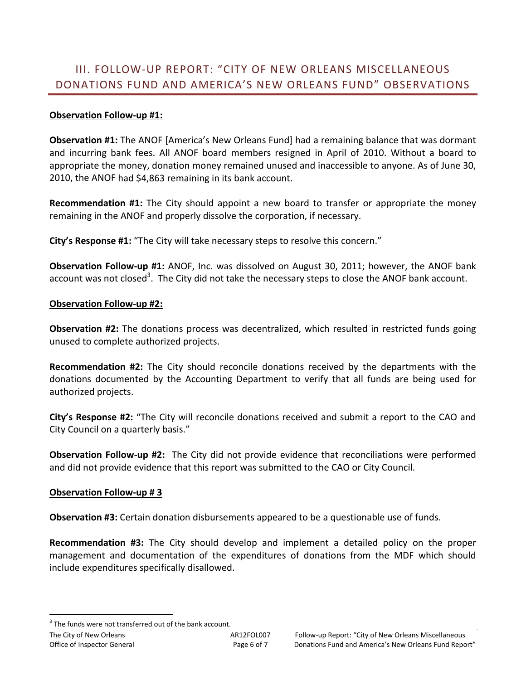## III. FOLLOW‐UP REPORT: "CITY OF NEW ORLEANS MISCELLANEOUS DONATIONS FUND AND AMERICA'S NEW ORLEANS FUND" OBSERVATIONS

#### **Observation Follow‐up #1:**

**Observation #1:** The ANOF [America's New Orleans Fund] had a remaining balance that was dormant and incurring bank fees. All ANOF board members resigned in April of 2010. Without a board to appropriate the money, donation money remained unused and inaccessible to anyone. As of June 30, 2010, the ANOF had \$4,863 remaining in its bank account.

**Recommendation #1:** The City should appoint a new board to transfer or appropriate the money remaining in the ANOF and properly dissolve the corporation, if necessary.

**City's Response #1:** "The City will take necessary steps to resolve this concern."

**Observation Follow‐up #1:** ANOF, Inc. was dissolved on August 30, 2011; however, the ANOF bank account was not closed<sup>3</sup>. The City did not take the necessary steps to close the ANOF bank account.

#### **Observation Follow‐up #2:**

**Observation #2:** The donations process was decentralized, which resulted in restricted funds going unused to complete authorized projects.

**Recommendation #2:** The City should reconcile donations received by the departments with the donations documented by the Accounting Department to verify that all funds are being used for authorized projects.

**City's Response #2:** "The City will reconcile donations received and submit a report to the CAO and City Council on a quarterly basis."

**Observation Follow‐up #2:** The City did not provide evidence that reconciliations were performed and did not provide evidence that this report was submitted to the CAO or City Council.

#### **Observation Follow‐up # 3**

**Observation #3:** Certain donation disbursements appeared to be a questionable use of funds.

**Recommendation #3:** The City should develop and implement a detailed policy on the proper management and documentation of the expenditures of donations from the MDF which should include expenditures specifically disallowed.

<sup>3</sup> The funds were not transferred out of the bank account.